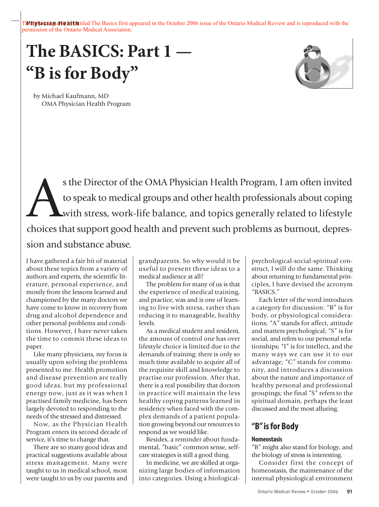Tletiy since and is reproduced The Basics first appeared in the October 2006 issue of the Ontario Medical Review and is reproduced with the permission of the Ontario Medical Association.

# **The BASICS: Part 1 — "B isfor Body"**



by Michael Kaufmann, MD OMA Physician Health Program

s the Director of the OMA Physician Health Program, I am often invited<br>to speak to medical groups and other health professionals about coping<br>with stress, work-life balance, and topics generally related to lifestyle<br>choice to speak to medical groups and other health professionals about coping with stress, work-life balance, and topics generally related to lifestyle choices that support good health and prevent such problems as burnout, depression and substance abuse.

I have gathered a fair bit of material about these topics from a variety of authors and experts, the scientific literature, personal experience, and mostly from the lessons learned and championed by the many doctors we have come to know in recovery from drug and alcohol dependence and other personal problems and conditions. However, I have never taken the time to commit these ideas to paper.

Like many physicians, my focus is usually upon solving the problems presented to me. Health promotion and disease prevention are really good ideas, but my professional energy now, just as it was when I practised family medicine, has been largely devoted to responding to the needs of the stressed and distressed.

Now, as the Physician Health Program enters its second decade of service, it's time to change that.

There are so many good ideas and practical suggestions available about stress management. Many were taught to us in medical school, most were taught to us by our parents and grandparents. So why would it be useful to present these ideas to a medical audience at all?

The problem for many of us is that the experience of medical training, and practice, was and is one of learning to live with stress, rather than reducing it to manageable, healthy levels.

As a medical student and resident, the amount of control one has over lifestyle choice is limited due to the demands of training: there is only so much time available to acquire all of the requisite skill and knowledge to practise our profession. After that, there is a real possibility that doctors in practice will maintain the less healthy coping patterns learned in residency when faced with the complex demands of a patient population growing beyond our resources to respond as we would like.

Besides, a reminder about fundamental, "basic" common sense, selfcare strategies is still a good thing.

In medicine, we are skilled at organizing large bodies of information into categories. Using a biologicalpsychological-social-spiritual construct, I will do the same. Thinking about returning to fundamental principles, I have devised the acronym "BASICS."

Each letter of the word introduces a category for discussion: "B" is for body, or physiological considerations; "A" stands for affect, attitude and matters psychological; "S" is for social, and refers to our personal relationships; "I" is for intellect, and the many ways we can use it to our advantage; "C" stands for community, and introduces a discussion about the nature and importance of healthy personal and professional groupings; the final "S" refers to the spiritual domain, perhaps the least discussed and the most alluring.

# **"B"isfor Body**

# **Homeostasis**

"B" might also stand for biology, and the biology of stress is interesting.

Consider first the concept of homeostasis, the maintenance of the internal physiological environment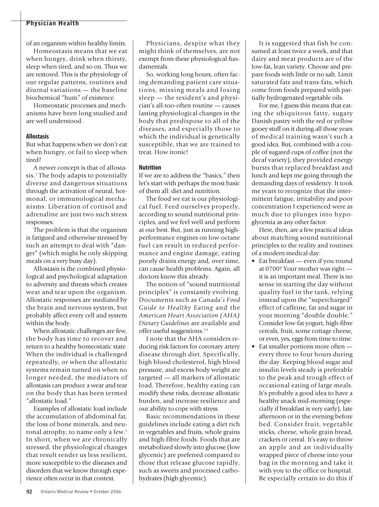of an organism within healthy limits.

Homeostasis means that we eat when hungry, drink when thirsty, sleep when tired, and so on. Thus we are restored. This is the physiology of our regular patterns, routines and diurnal variations — the baseline biochemical "hum" of existence.

Homeostatic processes and mechanisms have been long studied and are well understood.

#### **Allostasis**

But what happens when we don't eat when hungry, or fail to sleep when tired?

A newer concept is that of allostasis. <sup>1</sup> The body adapts to potentially diverse and dangerous situations through the activation of neural, hormonal, or immunological mechanisms. Liberation of cortisol and adrenaline are just two such stress responses.

The problem is that the organism is fatigued and otherwise stressed by such an attempt to deal with "danger" (which might be only skipping meals on a very busy day).

Allostasis is the combined physiological and psychological adaptation to adversity and threats which creates wear and tear upon the organism. Allostatic responses are mediated by the brain and nervous system, but probably affect every cell and system within the body.

When allostatic challenges are few, the body has time to recover and return to a healthy homeostatic state. When the individual is challenged repeatedly, or when the allostatic systems remain turned on when no longer needed, the mediators of allostasis can produce a wear and tear on the body that has been termed "allostatic load."

Examples of allostatic load include the accumulation of abdominal fat, the loss of bone minerals, and neuronal atrophy, to name only a few. 2 In short, when we are chronically stressed, the physiological changes that result render us less resilient, more susceptible to the diseases and disorders that we know through experience often occur in that context.

Physicians, despite what they might think of themselves, are not exempt from these physiological fundamentals.

So, working long hours, often facing demanding patient care situations, missing meals and losing sleep — the resident's and physician's all-too-often routine — causes lasting physiological changes in the body that predispose to all of the diseases, and especially those to which the individual is genetically susceptible, that we are trained to treat. How ironic!

#### **Nutrition**

If we are to address the "basics," then let's start with perhaps the most basic of them all: diet and nutrition.

The food we eat is our physiological fuel. Feed ourselves properly, according to sound nutritional principles, and we feel well and perform at our best. But, just as running highperformance engines on low-octane fuel can result in reduced performance and engine damage, eating poorly drains energy and, over time, can cause health problems. Again, all doctors know this already.

The notion of "sound nutritional principles" is constantly evolving. Documents such as *Canada's Food Guide to Healthy Eating* and the *American Heart Association (AHA) Dietary Guidelines* are available and offer useful suggestions. 3,4

I note that the AHA considers reducing risk factors for coronary artery disease through diet. Specifically, high blood cholesterol, high blood pressure, and excess body weight are targeted — all markers of allostatic load. Therefore, healthy eating can modify these risks, decrease allostatic burden, and increase resilience and our ability to cope with stress.

Basic recommendations in these guidelines include eating a diet rich in vegetables and fruits, whole grains and high-fibre foods. Foods that are metabolized slowly into glucose (low glycemic) are preferred compared to those that release glucose rapidly, such as sweets and processed carbohydrates (high glycemic).

It is suggested that fish be consumed at least twice a week, and that dairy and meat products are of the low-fat, lean variety. Choose and prepare foods with little or no salt. Limit saturated fats and trans-fats, which come from foods prepared with partially hydrogenated vegetable oils.

For me, I guess this means that eating the ubiquitous fatty, sugary Danish pastry with the red or yellow gooey stuff on it during all those years of medical training wasn't such a good idea. But, combined with a couple of sugared cups of coffee (not the decaf variety), they provided energy bursts that replaced breakfast and lunch and kept me going through the demanding days of residency. It took me years to recognize that the intermittent fatigue, irritability and poor concentration I experienced were as much due to plunges into hypoglycemia as any other factor.

Here, then, are a few practical ideas about matching sound nutritional principles to the reality and routines of a modern medical day:

- Eat breakfast even if you round at 0700! Your mother was right it is an important meal. There is no sense in starting the day without quality fuel in the tank, relying instead upon the "supercharged" effect of caffeine, fat and sugar in your morning "double double." Consider low-fat yogurt, high-fibre cereals, fruit, some cottage cheese, or even, yes, eggs from time to time.
- Eat smaller portions more often every three to four hours during the day. Keeping blood sugar and insulin levels steady is preferable to the peak and trough effect of occasional eating of large meals. It's probably a good idea to have a healthy snack mid-morning (especially if breakfast is very early), late afternoon or in the evening before bed. Consider fruit, vegetable sticks, cheese, whole grain bread, crackers or cereal. It's easy to throw an apple and an individually wrapped piece of cheese into your bag in the morning and take it with you to the office or hospital. Be especially certain to do this if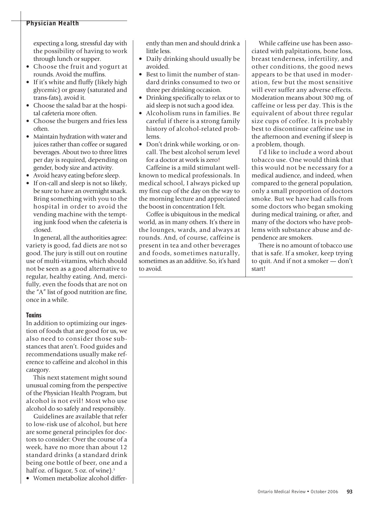expecting a long, stressful day with the possibility of having to work through lunch or supper.

- Choose the fruit and yogurt at rounds. Avoid the muffins.
- If it's white and fluffy (likely high glycemic) or greasy (saturated and trans-fats), avoid it.
- Choose the salad bar at the hospital cafeteria more often.
- Choose the burgers and fries less often.
- Maintain hydration with water and juices rather than coffee or sugared beverages. About two to three litres per day is required, depending on gender, body size and activity.
- Avoid heavy eating before sleep.
- If on-call and sleep is not so likely, be sure to have an overnight snack. Bring something with you to the hospital in order to avoid the vending machine with the tempting junk food when the cafeteria is closed.

In general, all the authorities agree: variety is good, fad diets are not so good. The jury is still out on routine use of multi-vitamins, which should not be seen as a good alternative to regular, healthy eating. And, mercifully, even the foods that are not on the "A" list of good nutrition are fine, once in a while.

#### **Toxins**

In addition to optimizing our ingestion of foods that are good for us, we also need to consider those substances that aren't. Food guides and recommendations usually make reference to caffeine and alcohol in this category.

This next statement might sound unusual coming from the perspective of the Physician Health Program, but alcohol is not evil! Most who use alcohol do so safely and responsibly.

Guidelines are available that refer to low-risk use of alcohol, but here are some general principles for doctors to consider: Over the course of a week, have no more than about 12 standard drinks (a standard drink being one bottle of beer, one and a half oz. of liquor, 5 oz. of wine). 5

• Women metabolize alcohol differ-

ently than men and should drink a little less.

- Daily drinking should usually be avoided.
- Best to limit the number of standard drinks consumed to two or three per drinking occasion.
- Drinking specifically to relax or to aid sleep is not such a good idea.
- Alcoholism runs in families. Be careful if there is a strong family history of alcohol-related problems.
- Don't drink while working, or oncall. The best alcohol serum level for a doctor at work is zero!

Caffeine is a mild stimulant wellknown to medical professionals. In medical school, I always picked up my first cup of the day on the way to the morning lecture and appreciated the boost in concentration I felt.

Coffee is ubiquitous in the medical world, as in many others. It's there in the lounges, wards, and always at rounds. And, of course, caffeine is present in tea and other beverages and foods, sometimes naturally, sometimes as an additive. So, it's hard to avoid.

While caffeine use has been associated with palpitations, bone loss, breast tenderness, infertility, and other conditions, the good news appears to be that used in moderation, few but the most sensitive will ever suffer any adverse effects. Moderation means about 300 mg. of caffeine or less per day. This is the equivalent of about three regular size cups of coffee. It is probably best to discontinue caffeine use in the afternoon and evening if sleep is a problem, though.

I'd like to include a word about tobacco use. One would think that this would not be necessary for a medical audience, and indeed, when compared to the general population, only a small proportion of doctors smoke. But we have had calls from some doctors who began smoking during medical training, or after, and many of the doctors who have problems with substance abuse and dependence are smokers.

There is no amount of tobacco use that is safe. If a smoker, keep trying to quit. And if not a smoker — don't start!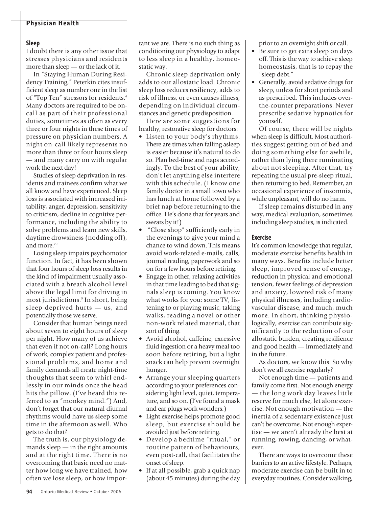#### **Sleep**

I doubt there is any other issue that stresses physicians and residents more than sleep — or the lack of it.

In "Staying Human During Residency Training," Peterkin cites insufficient sleep as number one in the list of "Top Ten" stressors for residents. 6 Many doctors are required to be oncall as part of their professional duties, sometimes as often as every three or four nights in these times of pressure on physician numbers. A night on-call likely represents no more than three or four hours sleep — and many carry on with regular work the next day!

Studies of sleep deprivation in residents and trainees confirm what we all know and have experienced. Sleep loss is associated with increased irritability, anger, depression, sensitivity to criticism, decline in cognitive performance, including the ability to solve problems and learn new skills, daytime drowsiness (nodding off), and more. 7,8

Losing sleep impairs psychomotor function. In fact, it has been shown that four hours of sleep loss results in the kind of impairment usually associated with a breath alcohol level above the legal limit for driving in most jurisdictions. <sup>9</sup> In short, being sleep deprived hurts — us, and potentially those we serve.

Consider that human beings need about seven to eight hours of sleep per night. How many of us achieve that even if not on-call? Long hours of work, complex patient and professional problems, and home and family demands all create night-time thoughts that seem to whirl endlessly in our minds once the head hits the pillow. (I've heard this referred to as "monkey mind.") And, don't forget that our natural diurnal rhythms would have us sleep some time in the afternoon as well. Who gets to do that?

The truth is, our physiology demands sleep — in the right amounts and at the right time. There is no overcoming that basic need no matter how long we have trained, how often we lose sleep, or how impor-

tant we are. There is no such thing as conditioning our physiology to adapt to less sleep in a healthy, homeostatic way.

Chronic sleep deprivation only adds to our allostatic load. Chronic sleep loss reduces resiliency, adds to risk of illness, or even causes illness, depending on individual circumstances and genetic predisposition.

Here are some suggestions for healthy, restorative sleep for doctors:

- Listen to your body's rhythms. There are times when falling asleep is easier because it's natural to do so. Plan bed-time and naps accordingly. To the best of your ability, don't let anything else interfere with this schedule. (I know one family doctor in a small town who has lunch at home followed by a brief nap before returning to the office. He's done that for years and swears by it!)
- "Close shop" sufficiently early in the evenings to give your mind a chance to wind down. This means avoid work-related e-mails, calls, journal reading, paperwork and so on for a few hours before retiring.
- Engage in other, relaxing activities in that time leading to bed that signals sleep is coming. You know what works for you: some TV, listening to or playing music, taking walks, reading a novel or other non-work related material, that sort of thing.
- Avoid alcohol, caffeine, excessive fluid ingestion or a heavy meal too soon before retiring, but a light snack can help prevent overnight hunger.
- Arrange your sleeping quarters according to your preferences considering light level, quiet, temperature, and so on. (I've found a mask and ear plugs work wonders.)
- Light exercise helps promote good sleep, but exercise should be avoided just before retiring.
- Develop a bedtime "ritual," or routine pattern of behaviours, even post-call, that facilitates the onset of sleep.
- If at all possible, grab a quick nap (about 45 minutes) during the day

prior to an overnight shift or call.

- Be sure to get extra sleep on days off. This is the way to achieve sleep homeostasis, that is to repay the "sleep debt."
- Generally, avoid sedative drugs for sleep, unless for short periods and as prescribed. This includes overthe-counter preparations. Never prescribe sedative hypnotics for yourself.

Of course, there will be nights when sleep is difficult. Most authorities suggest getting out of bed and doing something else for awhile, rather than lying there ruminating about not sleeping. After that, try repeating the usual pre-sleep ritual, then returning to bed. Remember, an occasional experience of insomnia, while unpleasant, will do no harm.

If sleep remains disturbed in any way, medical evaluation, sometimes including sleep studies, is indicated.

#### **Exercise**

It's common knowledge that regular, moderate exercise benefits health in many ways. Benefits include better sleep, improved sense of energy, reduction in physical and emotional tension, fewer feelings of depression and anxiety, lowered risk of many physical illnesses, including cardiovascular disease, and much, much more. In short, thinking physiologically, exercise can contribute significantly to the reduction of our allostatic burden, creating resilience and good health — immediately and in the future.

As doctors, we know this. So why don't we all exercise regularly?

Not enough time — patients and family come first. Not enough energy — the long work day leaves little reserve for much else, let alone exercise. Not enough motivation — the inertia of a sedentary existence just can't be overcome. Not enough expertise — we aren't already the best at running, rowing, dancing, or whatever.

There are ways to overcome these barriers to an active lifestyle. Perhaps, moderate exercise can be built in to everyday routines. Consider walking,